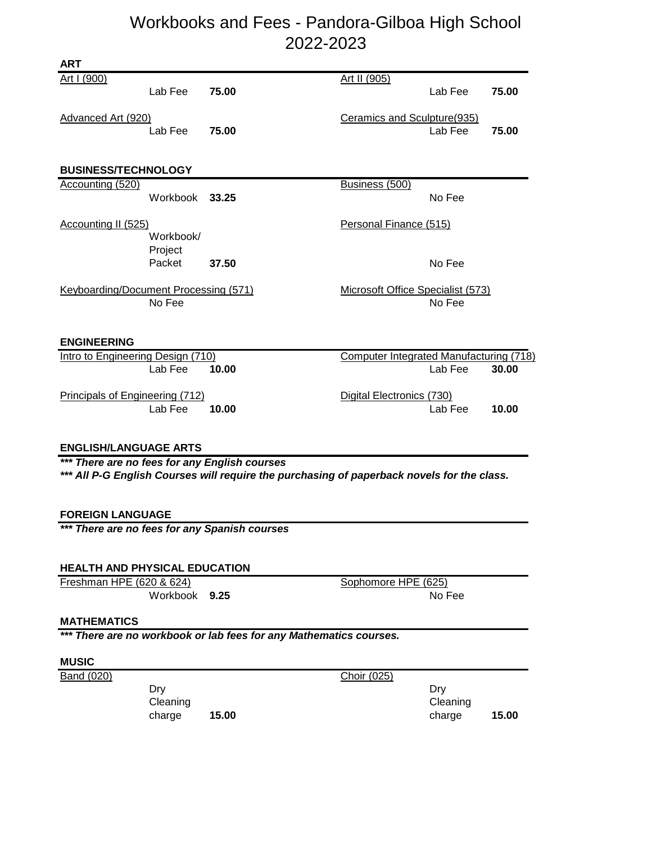# Workbooks and Fees - Pandora-Gilboa High School 2022-2023

| <b>ART</b>                                                                                                                                  |                   |       |                                         |         |       |  |  |  |  |  |
|---------------------------------------------------------------------------------------------------------------------------------------------|-------------------|-------|-----------------------------------------|---------|-------|--|--|--|--|--|
| Art I (900)                                                                                                                                 | Lab Fee           | 75.00 | Art II (905)                            | Lab Fee | 75.00 |  |  |  |  |  |
| Advanced Art (920)                                                                                                                          | Lab Fee           | 75.00 | Ceramics and Sculpture (935)            | Lab Fee | 75.00 |  |  |  |  |  |
| <b>BUSINESS/TECHNOLOGY</b>                                                                                                                  |                   |       |                                         |         |       |  |  |  |  |  |
| Accounting (520)                                                                                                                            | Workbook 33.25    |       | Business (500)                          | No Fee  |       |  |  |  |  |  |
| Accounting II (525)                                                                                                                         | Workbook/         |       | Personal Finance (515)                  |         |       |  |  |  |  |  |
|                                                                                                                                             | Project<br>Packet | 37.50 |                                         | No Fee  |       |  |  |  |  |  |
| <b>Keyboarding/Document Processing (571)</b>                                                                                                | No Fee            |       | Microsoft Office Specialist (573)       | No Fee  |       |  |  |  |  |  |
| <b>ENGINEERING</b>                                                                                                                          |                   |       |                                         |         |       |  |  |  |  |  |
| Intro to Engineering Design (710)                                                                                                           |                   |       | Computer Integrated Manufacturing (718) |         |       |  |  |  |  |  |
|                                                                                                                                             | Lab Fee           | 10.00 |                                         | Lab Fee | 30.00 |  |  |  |  |  |
| Principals of Engineering (712)                                                                                                             | Lab Fee           | 10.00 | Digital Electronics (730)               | Lab Fee | 10.00 |  |  |  |  |  |
| <b>ENGLISH/LANGUAGE ARTS</b>                                                                                                                |                   |       |                                         |         |       |  |  |  |  |  |
| *** There are no fees for any English courses<br>*** All P-G English Courses will require the purchasing of paperback novels for the class. |                   |       |                                         |         |       |  |  |  |  |  |
| <b>FOREIGN LANGUAGE</b><br>There are no fees for any Spanish courses                                                                        |                   |       |                                         |         |       |  |  |  |  |  |
|                                                                                                                                             |                   |       |                                         |         |       |  |  |  |  |  |

#### **HEALTH AND PHYSICAL EDUCATION**

| Freshman HPE (620 & 624) | Sophomore HPE (625) |
|--------------------------|---------------------|
| Workbook 9.25            | No Fee              |

#### **MATHEMATICS**

*\*\*\* There are no workbook or lab fees for any Mathematics courses.*

### **MUSIC**

Band (020) Choir (025)

Dry **Cleaning** charge **15.00**

Dry Cleaning charge **15.00**